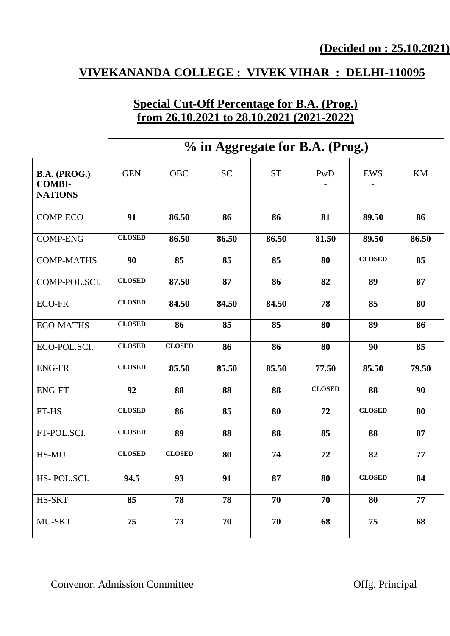## **VIVEKANANDA COLLEGE : VIVEK VIHAR : DELHI-110095**

#### **Special Cut-Off Percentage for B.A. (Prog.) from 26.10.2021 to 28.10.2021 (2021-2022)**

|                                                 | % in Aggregate for B.A. (Prog.) |               |           |           |               |               |       |  |
|-------------------------------------------------|---------------------------------|---------------|-----------|-----------|---------------|---------------|-------|--|
| B.A. (PROG.)<br><b>COMBI-</b><br><b>NATIONS</b> | <b>GEN</b>                      | <b>OBC</b>    | <b>SC</b> | <b>ST</b> | PwD           | <b>EWS</b>    | KM    |  |
| <b>COMP-ECO</b>                                 | 91                              | 86.50         | 86        | 86        | 81            | 89.50         | 86    |  |
| <b>COMP-ENG</b>                                 | <b>CLOSED</b>                   | 86.50         | 86.50     | 86.50     | 81.50         | 89.50         | 86.50 |  |
| <b>COMP-MATHS</b>                               | 90                              | 85            | 85        | 85        | 80            | <b>CLOSED</b> | 85    |  |
| COMP-POL.SCI.                                   | <b>CLOSED</b>                   | 87.50         | 87        | 86        | 82            | 89            | 87    |  |
| <b>ECO-FR</b>                                   | <b>CLOSED</b>                   | 84.50         | 84.50     | 84.50     | 78            | 85            | 80    |  |
| <b>ECO-MATHS</b>                                | <b>CLOSED</b>                   | 86            | 85        | 85        | 80            | 89            | 86    |  |
| ECO-POL.SCI.                                    | <b>CLOSED</b>                   | <b>CLOSED</b> | 86        | 86        | 80            | 90            | 85    |  |
| <b>ENG-FR</b>                                   | <b>CLOSED</b>                   | 85.50         | 85.50     | 85.50     | 77.50         | 85.50         | 79.50 |  |
| <b>ENG-FT</b>                                   | 92                              | 88            | 88        | 88        | <b>CLOSED</b> | 88            | 90    |  |
| FT-HS                                           | <b>CLOSED</b>                   | 86            | 85        | 80        | 72            | <b>CLOSED</b> | 80    |  |
| FT-POL.SCI.                                     | <b>CLOSED</b>                   | 89            | 88        | 88        | 85            | 88            | 87    |  |
| HS-MU                                           | <b>CLOSED</b>                   | <b>CLOSED</b> | 80        | 74        | 72            | 82            | 77    |  |
| HS-POL.SCI.                                     | 94.5                            | 93            | 91        | 87        | 80            | <b>CLOSED</b> | 84    |  |
| HS-SKT                                          | 85                              | 78            | 78        | 70        | 70            | 80            | 77    |  |
| MU-SKT                                          | 75                              | 73            | 70        | 70        | 68            | 75            | 68    |  |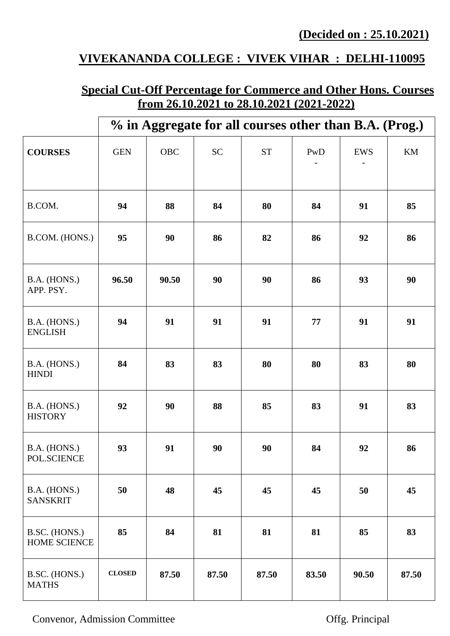# **VIVEKANANDA COLLEGE : VIVEK VIHAR : DELHI-110095**

## **Special Cut-Off Percentage for Commerce and Other Hons. Courses from 26.10.2021 to 28.10.2021 (2021-2022)**

|                                 |               |       |           | % in Aggregate for all courses other than B.A. (Prog.) |       |            |       |
|---------------------------------|---------------|-------|-----------|--------------------------------------------------------|-------|------------|-------|
| <b>COURSES</b>                  | <b>GEN</b>    | OBC   | <b>SC</b> | <b>ST</b>                                              | PwD   | <b>EWS</b> | KM    |
| B.COM.                          | 94            | 88    | 84        | 80                                                     | 84    | 91         | 85    |
| B.COM. (HONS.)                  | 95            | 90    | 86        | 82                                                     | 86    | 92         | 86    |
| B.A. (HONS.)<br>APP. PSY.       | 96.50         | 90.50 | 90        | 90                                                     | 86    | 93         | 90    |
| B.A. (HONS.)<br><b>ENGLISH</b>  | 94            | 91    | 91        | 91                                                     | 77    | 91         | 91    |
| B.A. (HONS.)<br><b>HINDI</b>    | 84            | 83    | 83        | 80                                                     | 80    | 83         | 80    |
| B.A. (HONS.)<br><b>HISTORY</b>  | 92            | 90    | 88        | 85                                                     | 83    | 91         | 83    |
| B.A. (HONS.)<br>POL.SCIENCE     | 93            | 91    | 90        | 90                                                     | 84    | 92         | 86    |
| B.A. (HONS.)<br><b>SANSKRIT</b> | 50            | 48    | 45        | 45                                                     | 45    | 50         | 45    |
| B.SC. (HONS.)<br>HOME SCIENCE   | 85            | 84    | 81        | 81                                                     | 81    | 85         | 83    |
| B.SC. (HONS.)<br><b>MATHS</b>   | <b>CLOSED</b> | 87.50 | 87.50     | 87.50                                                  | 83.50 | 90.50      | 87.50 |

Convenor, Admission Committee **Offg. Principal**